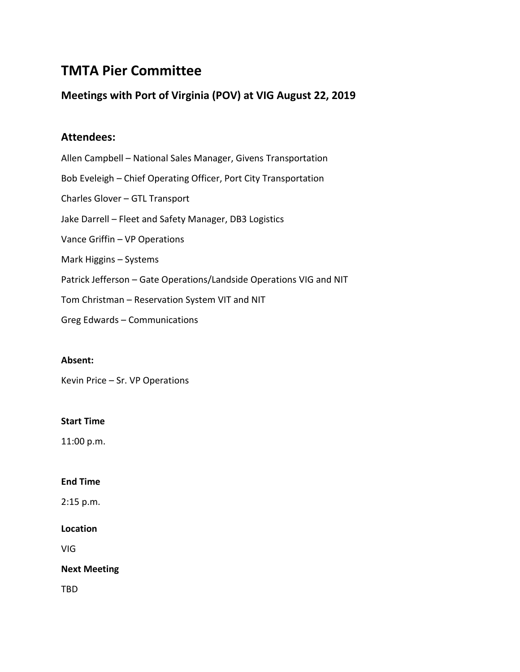# **TMTA Pier Committee**

# **Meetings with Port of Virginia (POV) at VIG August 22, 2019**

# **Attendees:**

- Allen Campbell National Sales Manager, Givens Transportation Bob Eveleigh – Chief Operating Officer, Port City Transportation Charles Glover – GTL Transport Jake Darrell – Fleet and Safety Manager, DB3 Logistics Vance Griffin – VP Operations Mark Higgins – Systems Patrick Jefferson – Gate Operations/Landside Operations VIG and NIT Tom Christman – Reservation System VIT and NIT
- Greg Edwards Communications

# **Absent:**

Kevin Price – Sr. VP Operations

# **Start Time**

11:00 p.m.

# **End Time**

2:15 p.m.

# **Location**

VIG

# **Next Meeting**

TBD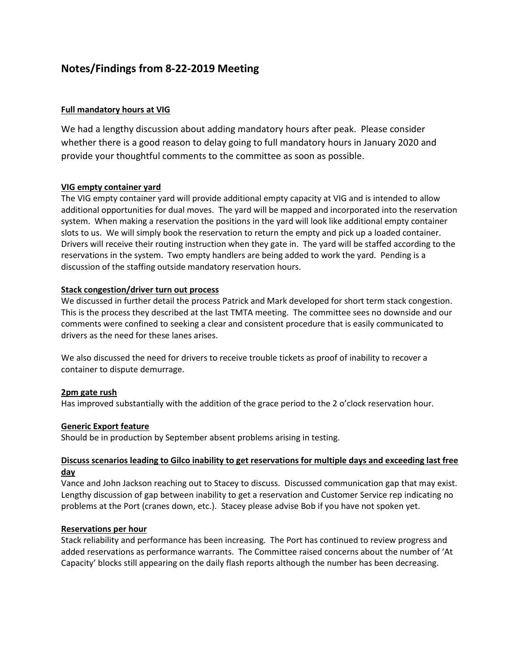# **Notes/Findings from 8-22-2019 Meeting**

### **Full mandatory hours at VIG**

We had a lengthy discussion about adding mandatory hours after peak. Please consider whether there is a good reason to delay going to full mandatory hours in January 2020 and provide your thoughtful comments to the committee as soon as possible.

#### **VIG empty container yard**

The VIG empty container yard will provide additional empty capacity at VIG and is intended to allow additional opportunities for dual moves. The yard will be mapped and incorporated into the reservation system. When making a reservation the positions in the yard will look like additional empty container slots to us. We will simply book the reservation to return the empty and pick up a loaded container. Drivers will receive their routing instruction when they gate in. The yard will be staffed according to the reservations in the system. Two empty handlers are being added to work the yard. Pending is a discussion of the staffing outside mandatory reservation hours.

#### **Stack congestion/driver turn out process**

We discussed in further detail the process Patrick and Mark developed for short term stack congestion. This is the process they described at the last TMTA meeting. The committee sees no downside and our comments were confined to seeking a clear and consistent procedure that is easily communicated to drivers as the need for these lanes arises.

We also discussed the need for drivers to receive trouble tickets as proof of inability to recover a container to dispute demurrage.

#### **2pm gate rush**

Has improved substantially with the addition of the grace period to the 2 o'clock reservation hour.

#### **Generic Export feature**

Should be in production by September absent problems arising in testing.

#### **Discuss scenarios leading to Gilco inability to get reservations for multiple days and exceeding last free day**

Vance and John Jackson reaching out to Stacey to discuss. Discussed communication gap that may exist. Lengthy discussion of gap between inability to get a reservation and Customer Service rep indicating no problems at the Port (cranes down, etc.). Stacey please advise Bob if you have not spoken yet.

#### **Reservations per hour**

Stack reliability and performance has been increasing. The Port has continued to review progress and added reservations as performance warrants. The Committee raised concerns about the number of 'At Capacity' blocks still appearing on the daily flash reports although the number has been decreasing.